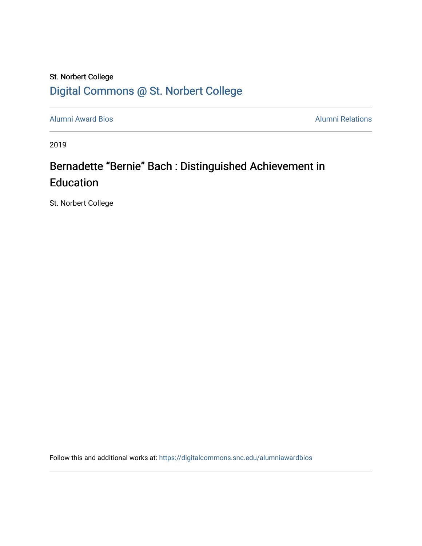### St. Norbert College [Digital Commons @ St. Norbert College](https://digitalcommons.snc.edu/)

[Alumni Award Bios](https://digitalcommons.snc.edu/alumniawardbios) **Alumni Relations** Alumni Relations

2019

## Bernadette "Bernie" Bach : Distinguished Achievement in Education

St. Norbert College

Follow this and additional works at: [https://digitalcommons.snc.edu/alumniawardbios](https://digitalcommons.snc.edu/alumniawardbios?utm_source=digitalcommons.snc.edu%2Falumniawardbios%2F66&utm_medium=PDF&utm_campaign=PDFCoverPages)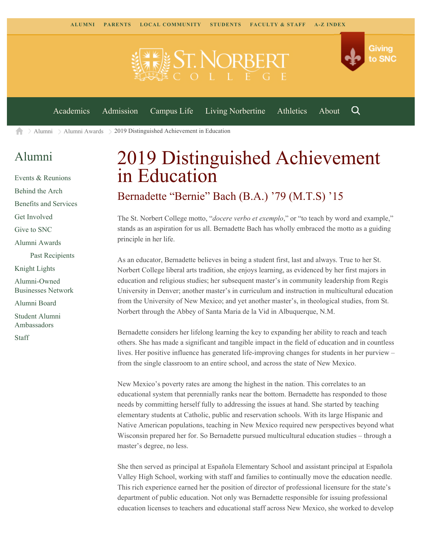**EST NORBEE** 



Q

[Academics](https://www.snc.edu/academics) [Admission](https://www.snc.edu/admission) [Campus Life](https://www.snc.edu/campuslife) [Living Norbertine](https://www.snc.edu/livingnorbertine) [Athletics](https://www.snc.edu/athletics) [About](https://www.snc.edu/about)

 $\geq$  [Alumni](https://www.snc.edu/alumni/)  $\geq$  [Alumni Awards](https://www.snc.edu/alumni/awards/)  $\geq$  2019 Distinguished Achievement in Education A

#### [Alumni](https://www.snc.edu/alumni/index.html)

[Events & Reunions](https://www.snc.edu/alumni/event/index.html) [Behind the Arch](https://www.snc.edu/alumni/event/behindthearch/) [Benefits and Services](https://www.snc.edu/alumni/benefits.html) [Get Involved](https://www.snc.edu/alumni/getinvolved.html) [Give to SNC](http://giving.snc.edu/) [Alumni Awards](https://www.snc.edu/alumni/awards/index.html) [Past Recipients](https://www.snc.edu/alumni/awards/recipients.html) [Knight Lights](https://www.snc.edu/alumni/knightlights/index.html) [Alumni-Owned](https://www.snc.edu/alumni/directory/index.html) [Businesses Network](https://www.snc.edu/alumni/directory/index.html) [Alumni Board](https://www.snc.edu/alumni/alumniboard.html) [Student Alumni](https://www.snc.edu/alumni/saa.html) [Ambassadors](https://www.snc.edu/alumni/saa.html) [Staff](https://www.snc.edu/alumni/contactus.html)

# 2019 Distinguished Achievement in Education

#### Bernadette "Bernie" Bach (B.A.) '79 (M.T.S) '15

The St. Norbert College motto, "*docere verbo et exemplo*," or "to teach by word and example," stands as an aspiration for us all. Bernadette Bach has wholly embraced the motto as a guiding principle in her life.

As an educator, Bernadette believes in being a student first, last and always. True to her St. Norbert College liberal arts tradition, she enjoys learning, as evidenced by her first majors in education and religious studies; her subsequent master's in community leadership from Regis University in Denver; another master's in curriculum and instruction in multicultural education from the University of New Mexico; and yet another master's, in theological studies, from St. Norbert through the Abbey of Santa Maria de la Vid in Albuquerque, N.M.

Bernadette considers her lifelong learning the key to expanding her ability to reach and teach others. She has made a significant and tangible impact in the field of education and in countless lives. Her positive influence has generated life-improving changes for students in her purview – from the single classroom to an entire school, and across the state of New Mexico.

New Mexico's poverty rates are among the highest in the nation. This correlates to an educational system that perennially ranks near the bottom. Bernadette has responded to those needs by committing herself fully to addressing the issues at hand. She started by teaching elementary students at Catholic, public and reservation schools. With its large Hispanic and Native American populations, teaching in New Mexico required new perspectives beyond what Wisconsin prepared her for. So Bernadette pursued multicultural education studies – through a master's degree, no less.

She then served as principal at Española Elementary School and assistant principal at Española Valley High School, working with staff and families to continually move the education needle. This rich experience earned her the position of director of professional licensure for the state's department of public education. Not only was Bernadette responsible for issuing professional education licenses to teachers and educational staff across New Mexico, she worked to develop